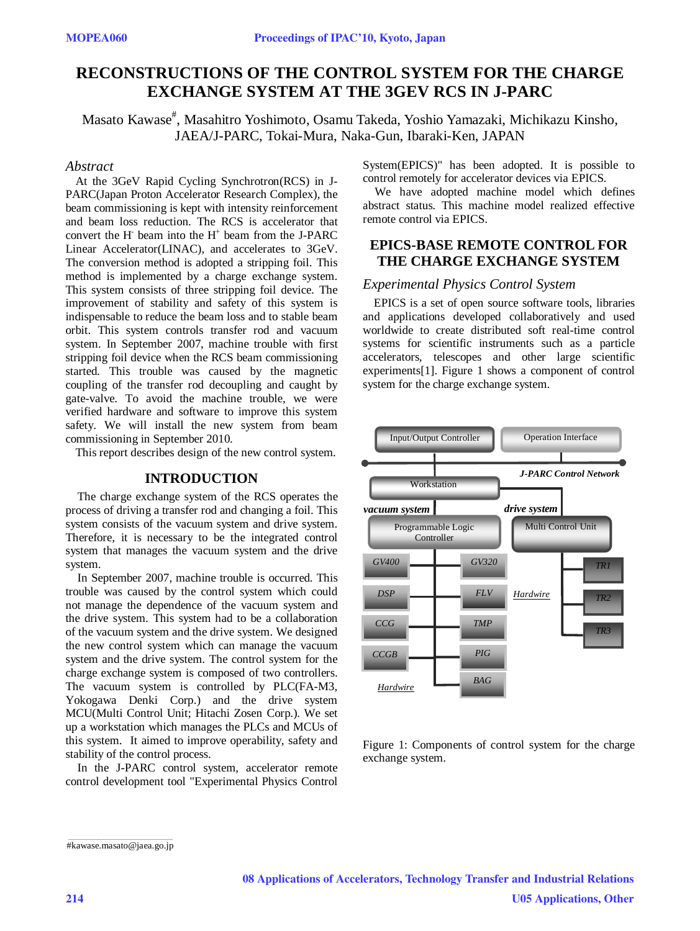# **RECONSTRUCTIONS OF THE CONTROL SYSTEM FOR THE CHARGE EXCHANGE SYSTEM AT THE 3GEV RCS IN J-PARC**

Masato Kawase<sup>#</sup>, Masahitro Yoshimoto, Osamu Takeda, Yoshio Yamazaki, Michikazu Kinsho, JAEA/J-PARC, Tokai-Mura, Naka-Gun, Ibaraki-Ken, JAPAN

#### *Abstract*

At the 3GeV Rapid Cycling Synchrotron(RCS) in J-PARC(Japan Proton Accelerator Research Complex), the beam commissioning is kept with intensity reinforcement and beam loss reduction. The RCS is accelerator that convert the H beam into the  $H^+$  beam from the J-PARC Linear Accelerator(LINAC), and accelerates to 3GeV. The conversion method is adopted a stripping foil. This method is implemented by a charge exchange system. This system consists of three stripping foil device. The improvement of stability and safety of this system is indispensable to reduce the beam loss and to stable beam orbit. This system controls transfer rod and vacuum system. In September 2007, machine trouble with first stripping foil device when the RCS beam commissioning started. This trouble was caused by the magnetic coupling of the transfer rod decoupling and caught by gate-valve. To avoid the machine trouble, we were verified hardware and software to improve this system safety. We will install the new system from beam commissioning in September 2010.

This report describes design of the new control system.

### **INTRODUCTION**

The charge exchange system of the RCS operates the process of driving a transfer rod and changing a foil. This system consists of the vacuum system and drive system. Therefore, it is necessary to be the integrated control system that manages the vacuum system and the drive system.

In September 2007, machine trouble is occurred. This trouble was caused by the control system which could not manage the dependence of the vacuum system and the drive system. This system had to be a collaboration of the vacuum system and the drive system. We designed the new control system which can manage the vacuum system and the drive system. The control system for the charge exchange system is composed of two controllers. The vacuum system is controlled by PLC(FA-M3, Yokogawa Denki Corp.) and the drive system MCU(Multi Control Unit; Hitachi Zosen Corp.). We set up a workstation which manages the PLCs and MCUs of this system. It aimed to improve operability, safety and stability of the control process.

In the J-PARC control system, accelerator remote control development tool "Experimental Physics Control System(EPICS)" has been adopted. It is possible to control remotely for accelerator devices via EPICS.

We have adopted machine model which defines abstract status. This machine model realized effective remote control via EPICS.

### **EPICS-BASE REMOTE CONTROL FOR THE CHARGE EXCHANGE SYSTEM**

#### *Experimental Physics Control System*

EPICS is a set of open source software tools, libraries and applications developed collaboratively and used worldwide to create distributed soft real-time control systems for scientific instruments such as a particle accelerators, telescopes and other large scientific experiments[1]. Figure 1 shows a component of control system for the charge exchange system.



Figure 1: Components of control system for the charge exchange system.

\_\_\_\_\_\_\_\_\_\_\_\_\_\_\_\_\_\_\_\_\_\_\_\_\_\_\_\_\_\_\_\_\_\_\_\_\_\_\_\_\_ #kawase.masato@jaea.go.jp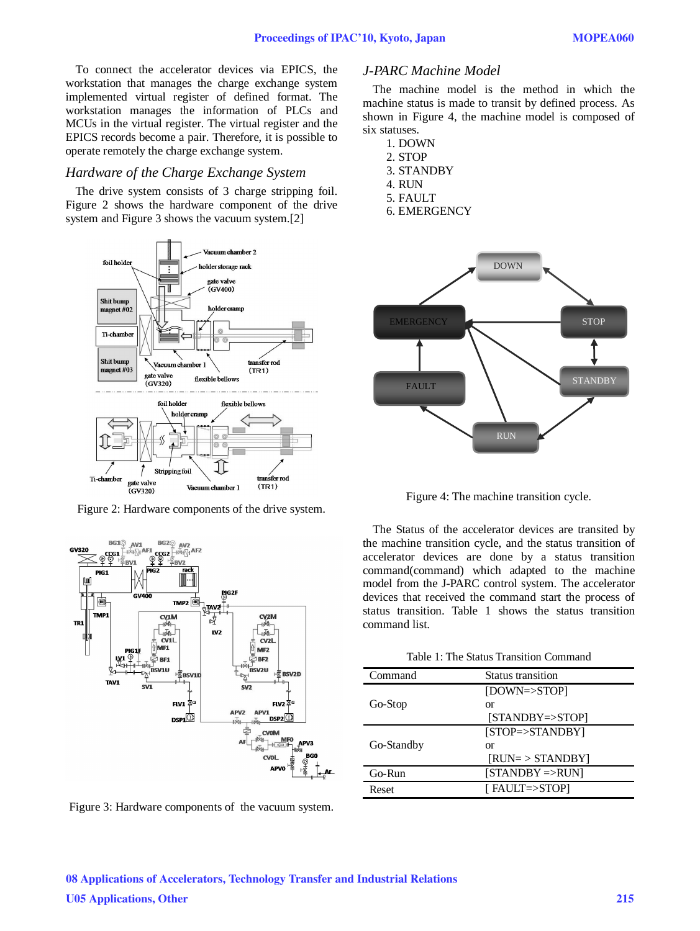To connect the accelerator devices via EPICS, the workstation that manages the charge exchange system implemented virtual register of defined format. The workstation manages the information of PLCs and MCUs in the virtual register. The virtual register and the EPICS records become a pair. Therefore, it is possible to operate remotely the charge exchange system.

#### *Hardware of the Charge Exchange System*

The drive system consists of 3 charge stripping foil. Figure 2 shows the hardware component of the drive system and Figure 3 shows the vacuum system.[2]



Figure 2: Hardware components of the drive system.



Figure 3: Hardware components of the vacuum system.

### *J-PARC Machine Model*

The machine model is the method in which the machine status is made to transit by defined process. As shown in Figure 4, the machine model is composed of six statuses.

- 1. DOWN 2. STOP 3. STANDBY 4. RUN
- 5. FAULT
- 6. EMERGENCY



Figure 4: The machine transition cycle.

The Status of the accelerator devices are transited by the machine transition cycle, and the status transition of accelerator devices are done by a status transition command(command) which adapted to the machine model from the J-PARC control system. The accelerator devices that received the command start the process of status transition. Table 1 shows the status transition command list.

| Table 1: The Status Transition Command |  |  |
|----------------------------------------|--|--|
|----------------------------------------|--|--|

| Command    | Status transition    |  |
|------------|----------------------|--|
|            | [DOWN=>STOP]         |  |
| Go-Stop    | or                   |  |
|            | $[STANDBY=STOP]$     |  |
|            | $[STOP=\gt;STANDBY]$ |  |
| Go-Standby | or                   |  |
|            | $[RUN = > STANDBY]$  |  |
| Go-Run     | $[STANDBY = >RUN]$   |  |
| Reset      | [ FAULT=>STOP]       |  |